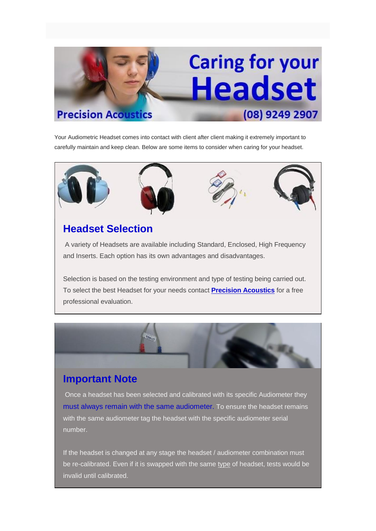# **Caring for your Headset Precision Acoustics** (08) 9249 2907

Your Audiometric Headset comes into contact with client after client making it extremely important to carefully maintain and keep clean. Below are some items to consider when caring for your headset.









### **Headset Selection**

A variety of Headsets are available including Standard, Enclosed, High Frequency and Inserts. Each option has its own advantages and disadvantages.

Selection is based on the testing environment and type of testing being carried out. To select the best Headset for your needs contact **[Precision Acoustics](http://www.precision-acoustics.com.au/contact)** for a free professional evaluation.



#### **Important Note**

Once a headset has been selected and calibrated with its specific Audiometer they must always remain with the same audiometer. To ensure the headset remains with the same audiometer tag the headset with the specific audiometer serial number.

If the headset is changed at any stage the headset / audiometer combination must be re-calibrated. Even if it is swapped with the same type of headset, tests would be invalid until calibrated.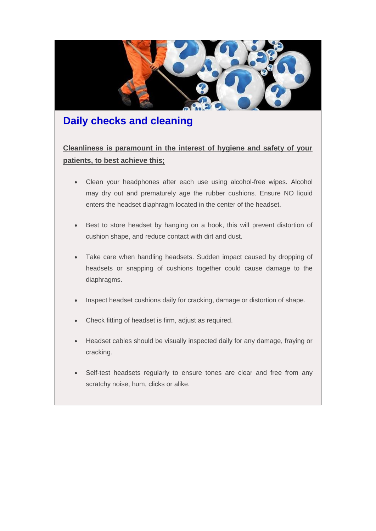

#### **Daily checks and cleaning**

**Cleanliness is paramount in the interest of hygiene and safety of your patients, to best achieve this;**

- Clean your headphones after each use using alcohol-free wipes. Alcohol may dry out and prematurely age the rubber cushions. Ensure NO liquid enters the headset diaphragm located in the center of the headset.
- Best to store headset by hanging on a hook, this will prevent distortion of cushion shape, and reduce contact with dirt and dust.
- Take care when handling headsets. Sudden impact caused by dropping of headsets or snapping of cushions together could cause damage to the diaphragms.
- Inspect headset cushions daily for cracking, damage or distortion of shape.
- Check fitting of headset is firm, adjust as required.
- Headset cables should be visually inspected daily for any damage, fraying or cracking.
- Self-test headsets regularly to ensure tones are clear and free from any scratchy noise, hum, clicks or alike.